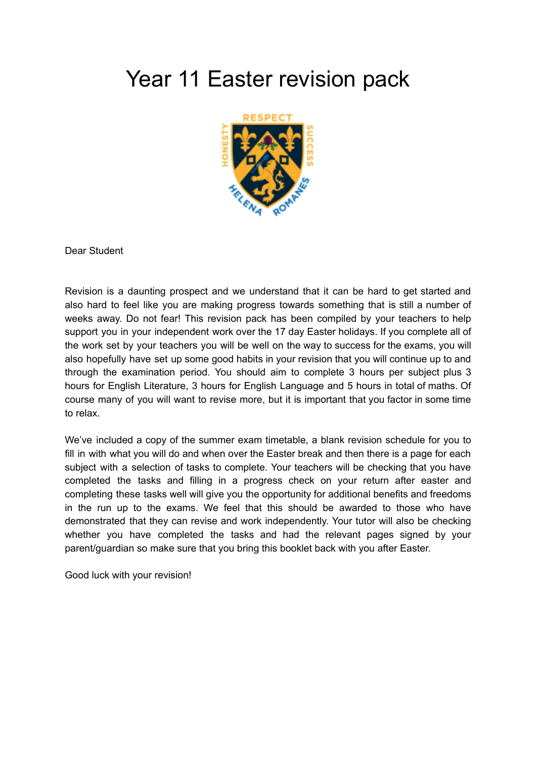## Year 11 Easter revision pack



Dear Student

Revision is a daunting prospect and we understand that it can be hard to get started and also hard to feel like you are making progress towards something that is still a number of weeks away. Do not fear! This revision pack has been compiled by your teachers to help support you in your independent work over the 17 day Easter holidays. If you complete all of the work set by your teachers you will be well on the way to success for the exams, you will also hopefully have set up some good habits in your revision that you will continue up to and through the examination period. You should aim to complete 3 hours per subject plus 3 hours for English Literature, 3 hours for English Language and 5 hours in total of maths. Of course many of you will want to revise more, but it is important that you factor in some time to relax.

We've included a copy of the summer exam timetable, a blank revision schedule for you to fill in with what you will do and when over the Easter break and then there is a page for each subject with a selection of tasks to complete. Your teachers will be checking that you have completed the tasks and filling in a progress check on your return after easter and completing these tasks well will give you the opportunity for additional benefits and freedoms in the run up to the exams. We feel that this should be awarded to those who have demonstrated that they can revise and work independently. Your tutor will also be checking whether you have completed the tasks and had the relevant pages signed by your parent/guardian so make sure that you bring this booklet back with you after Easter.

Good luck with your revision!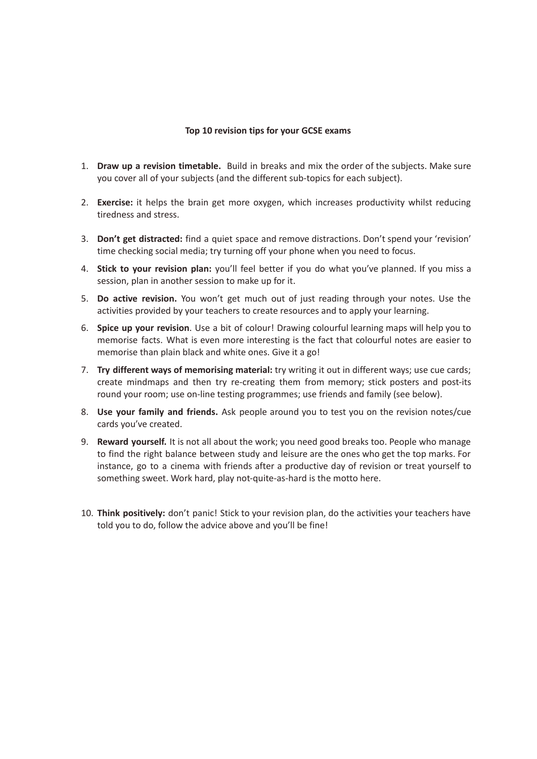## **Top 10 revision tips for your GCSE exams**

- 1. **Draw up a revision timetable.** Build in breaks and mix the order of the subjects. Make sure you cover all of your subjects (and the different sub-topics for each subject).
- 2. **Exercise:** it helps the brain get more oxygen, which increases productivity whilst reducing tiredness and stress.
- 3. **Don't get distracted:** find a quiet space and remove distractions. Don't spend your 'revision' time checking social media; try turning off your phone when you need to focus.
- 4. **Stick to your revision plan:** you'll feel better if you do what you've planned. If you miss a session, plan in another session to make up for it.
- 5. **Do active revision.** You won't get much out of just reading through your notes. Use the activities provided by your teachers to create resources and to apply your learning.
- 6. **Spice up your revision**. Use a bit of colour! Drawing colourful learning maps will help you to memorise facts. What is even more interesting is the fact that colourful notes are easier to memorise than plain black and white ones. Give it a go!
- 7. **Try different ways of memorising material:** try writing it out in different ways; use cue cards; create mindmaps and then try re-creating them from memory; stick posters and post-its round your room; use on-line testing programmes; use friends and family (see below).
- 8. **Use your family and friends.** Ask people around you to test you on the revision notes/cue cards you've created.
- 9. **Reward yourself.** It is not all about the work; you need good breaks too. People who manage to find the right balance between study and leisure are the ones who get the top marks. For instance, go to a cinema with friends after a productive day of revision or treat yourself to something sweet. Work hard, play not-quite-as-hard is the motto here.
- 10. **Think positively:** don't panic! Stick to your revision plan, do the activities your teachers have told you to do, follow the advice above and you'll be fine!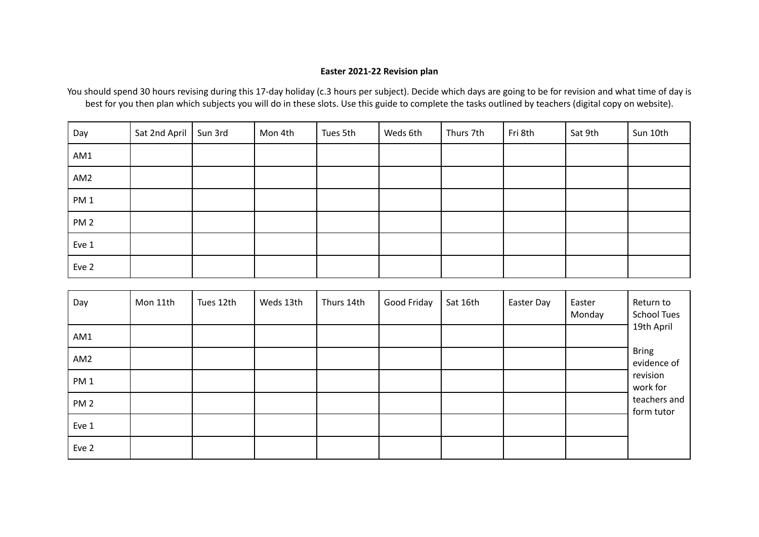## **Easter 2021-22 Revision plan**

You should spend 30 hours revising during this 17-day holiday (c.3 hours per subject). Decide which days are going to be for revision and what time of day is best for you then plan which subjects you will do in these slots. Use this guide to complete the tasks outlined by teachers (digital copy on website).

| Day             | Sat 2nd April   Sun 3rd | Mon 4th | Tues 5th | Weds 6th | Thurs 7th | Fri 8th | Sat 9th | Sun 10th |
|-----------------|-------------------------|---------|----------|----------|-----------|---------|---------|----------|
| AM1             |                         |         |          |          |           |         |         |          |
| AM <sub>2</sub> |                         |         |          |          |           |         |         |          |
| PM <sub>1</sub> |                         |         |          |          |           |         |         |          |
| PM <sub>2</sub> |                         |         |          |          |           |         |         |          |
| Eve 1           |                         |         |          |          |           |         |         |          |
| Eve 2           |                         |         |          |          |           |         |         |          |

| Day             | Mon 11th | Tues 12th | Weds 13th | Thurs 14th | Good Friday | Sat 16th | Easter Day | Easter<br>Monday | Return to<br><b>School Tues</b> |
|-----------------|----------|-----------|-----------|------------|-------------|----------|------------|------------------|---------------------------------|
| AM1             |          |           |           |            |             |          |            |                  | 19th April                      |
| AM <sub>2</sub> |          |           |           |            |             |          |            |                  | <b>Bring</b><br>evidence of     |
| PM <sub>1</sub> |          |           |           |            |             |          |            |                  | revision<br>work for            |
| PM <sub>2</sub> |          |           |           |            |             |          |            |                  | teachers and<br>form tutor      |
| Eve 1           |          |           |           |            |             |          |            |                  |                                 |
| Eve 2           |          |           |           |            |             |          |            |                  |                                 |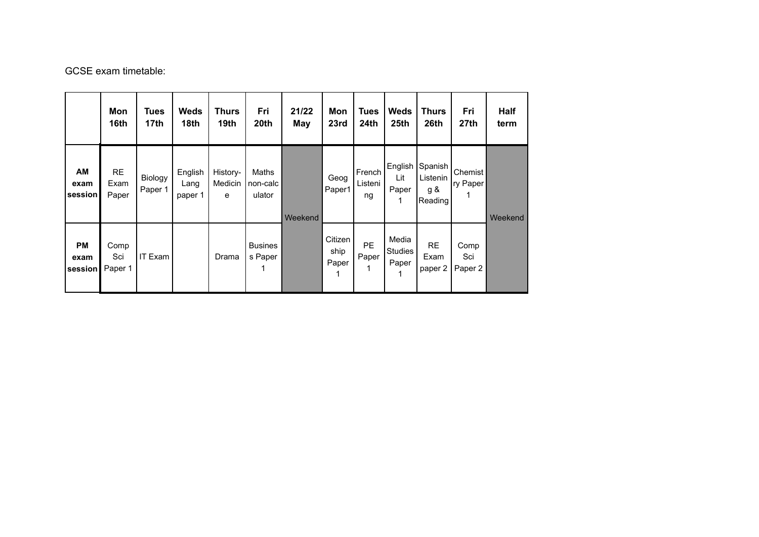GCSE exam timetable:

|                              | Mon<br>16th                | <b>Tues</b><br>17th | <b>Weds</b><br>18th        | Thurs<br>19th            | Fri<br>20th                 | 21/22<br>May | Mon<br>23rd              | <b>Tues</b><br>24th     | <b>Weds</b><br>25th              | <b>Thurs</b><br>26th                  | Fri<br>27 <sub>th</sub> | Half<br>term |
|------------------------------|----------------------------|---------------------|----------------------------|--------------------------|-----------------------------|--------------|--------------------------|-------------------------|----------------------------------|---------------------------------------|-------------------------|--------------|
| AM<br>exam<br>session        | <b>RE</b><br>Exam<br>Paper | Biology<br>Paper 1  | English<br>Lang<br>paper 1 | History-<br>Medicin<br>e | Maths<br>non-calc<br>ulator | Weekend      | Geog<br>Paper1           | French<br>Listeni<br>ng | English<br>Lit<br>Paper          | Spanish<br>Listenin<br>g &<br>Reading | Chemist<br>ry Paper     | Weekend      |
| <b>PM</b><br>exam<br>session | Comp<br>Sci<br>Paper 1     | <b>IT Exam</b>      |                            | Drama                    | <b>Busines</b><br>s Paper   |              | Citizen<br>ship<br>Paper | <b>PE</b><br>Paper      | Media<br><b>Studies</b><br>Paper | <b>RE</b><br>Exam<br>paper 2          | Comp<br>Sci<br>Paper 2  |              |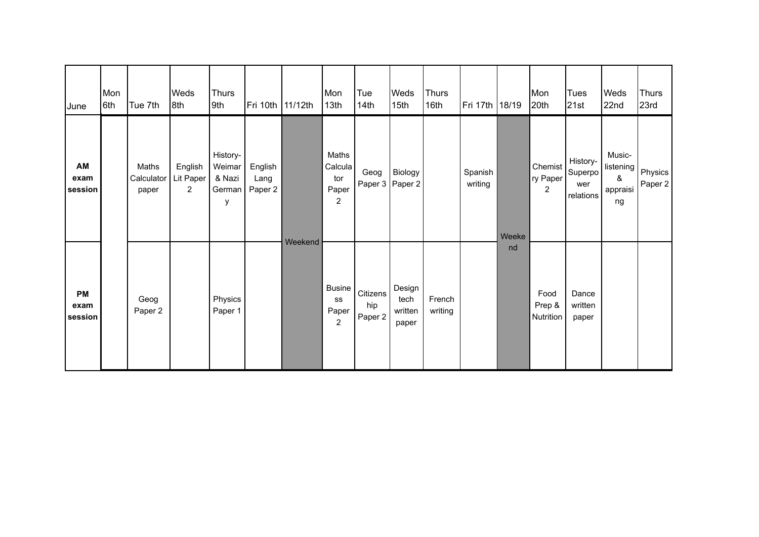| June                  | Mon<br>6th | Tue 7th                      | Weds<br>8th                            | Thurs<br>9th                                | Fri 10th   11/12th         |         | Mon<br>13 <sub>th</sub>                            | Tue<br>14 <sub>th</sub>    | <b>Weds</b><br>15th                | <b>Thurs</b><br>16 <sub>th</sub> | Fri 17th 18/19     |       | Mon<br> 20th                          | <b>Tues</b><br>21st                                  | Weds<br>22nd                                        | <b>Thurs</b><br>23rd |
|-----------------------|------------|------------------------------|----------------------------------------|---------------------------------------------|----------------------------|---------|----------------------------------------------------|----------------------------|------------------------------------|----------------------------------|--------------------|-------|---------------------------------------|------------------------------------------------------|-----------------------------------------------------|----------------------|
| AM<br>exam<br>session |            | Maths<br>Calculator<br>paper | English<br>Lit Paper<br>$\overline{2}$ | History-<br>Weimar<br>& Nazi<br>German<br>у | English<br>Lang<br>Paper 2 |         | Maths<br>Calcula<br>tor<br>Paper<br>$\overline{c}$ | Geog<br>Paper 3 Paper 2    | Biology                            |                                  | Spanish<br>writing | Weeke | Chemist<br>ry Paper<br>$\overline{2}$ | History-<br>Superpo <sup>1</sup><br>wer<br>relations | Music-<br>listening<br>$\pmb{\&}$<br>appraisi<br>ng | Physics<br>Paper 2   |
| PM<br>exam<br>session |            | Geog<br>Paper 2              |                                        | Physics<br>Paper 1                          |                            | Weekend | <b>Busine</b><br>SS<br>Paper<br>$\overline{2}$     | Citizens<br>hip<br>Paper 2 | Design<br>tech<br>written<br>paper | French<br>writing                |                    | nd    | Food<br>Prep &<br>Nutrition           | Dance<br>written<br>paper                            |                                                     |                      |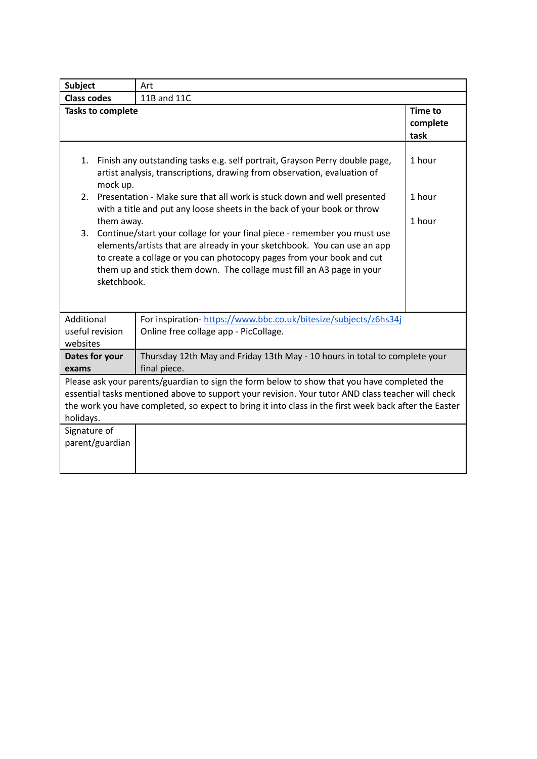| <b>Subject</b>                                                                                                                                                                                                                                                                                                                                                                                                                                                                                                            | Art                                                                                                      |                                    |  |  |
|---------------------------------------------------------------------------------------------------------------------------------------------------------------------------------------------------------------------------------------------------------------------------------------------------------------------------------------------------------------------------------------------------------------------------------------------------------------------------------------------------------------------------|----------------------------------------------------------------------------------------------------------|------------------------------------|--|--|
| <b>Class codes</b>                                                                                                                                                                                                                                                                                                                                                                                                                                                                                                        | 11B and 11C                                                                                              |                                    |  |  |
| <b>Tasks to complete</b>                                                                                                                                                                                                                                                                                                                                                                                                                                                                                                  |                                                                                                          | <b>Time to</b><br>complete<br>task |  |  |
| Finish any outstanding tasks e.g. self portrait, Grayson Perry double page,<br>1.<br>artist analysis, transcriptions, drawing from observation, evaluation of<br>mock up.                                                                                                                                                                                                                                                                                                                                                 | 1 hour                                                                                                   |                                    |  |  |
| Presentation - Make sure that all work is stuck down and well presented<br>1 hour<br>2.<br>with a title and put any loose sheets in the back of your book or throw<br>them away.<br>1 hour<br>Continue/start your collage for your final piece - remember you must use<br>3.<br>elements/artists that are already in your sketchbook. You can use an app<br>to create a collage or you can photocopy pages from your book and cut<br>them up and stick them down. The collage must fill an A3 page in your<br>sketchbook. |                                                                                                          |                                    |  |  |
| Additional<br>useful revision<br>websites                                                                                                                                                                                                                                                                                                                                                                                                                                                                                 | For inspiration-https://www.bbc.co.uk/bitesize/subjects/z6hs34j<br>Online free collage app - PicCollage. |                                    |  |  |
| Dates for your<br>exams                                                                                                                                                                                                                                                                                                                                                                                                                                                                                                   | Thursday 12th May and Friday 13th May - 10 hours in total to complete your<br>final piece.               |                                    |  |  |
| Please ask your parents/guardian to sign the form below to show that you have completed the<br>essential tasks mentioned above to support your revision. Your tutor AND class teacher will check<br>the work you have completed, so expect to bring it into class in the first week back after the Easter<br>holidays.                                                                                                                                                                                                    |                                                                                                          |                                    |  |  |
| Signature of<br>parent/guardian                                                                                                                                                                                                                                                                                                                                                                                                                                                                                           |                                                                                                          |                                    |  |  |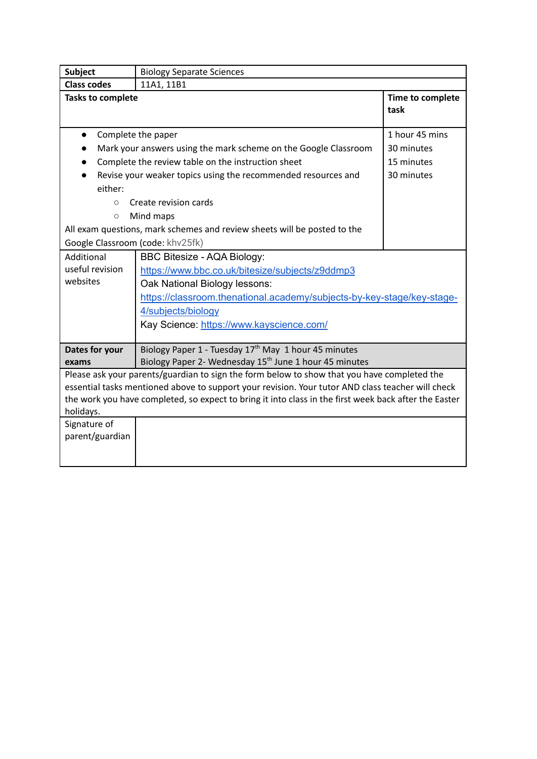| <b>Subject</b>                                                                                        | <b>Biology Separate Sciences</b>                                                            |                          |  |  |  |  |  |
|-------------------------------------------------------------------------------------------------------|---------------------------------------------------------------------------------------------|--------------------------|--|--|--|--|--|
| <b>Class codes</b>                                                                                    | 11A1, 11B1                                                                                  |                          |  |  |  |  |  |
| <b>Tasks to complete</b>                                                                              |                                                                                             | Time to complete<br>task |  |  |  |  |  |
| $\bullet$                                                                                             | Complete the paper                                                                          | 1 hour 45 mins           |  |  |  |  |  |
|                                                                                                       | Mark your answers using the mark scheme on the Google Classroom                             | 30 minutes               |  |  |  |  |  |
|                                                                                                       | Complete the review table on the instruction sheet                                          | 15 minutes               |  |  |  |  |  |
|                                                                                                       | Revise your weaker topics using the recommended resources and                               | 30 minutes               |  |  |  |  |  |
| either:                                                                                               |                                                                                             |                          |  |  |  |  |  |
| $\circ$                                                                                               | Create revision cards                                                                       |                          |  |  |  |  |  |
| $\circ$                                                                                               | Mind maps                                                                                   |                          |  |  |  |  |  |
|                                                                                                       | All exam questions, mark schemes and review sheets will be posted to the                    |                          |  |  |  |  |  |
| Google Classroom (code: khv25fk)                                                                      |                                                                                             |                          |  |  |  |  |  |
| Additional                                                                                            | BBC Bitesize - AQA Biology:                                                                 |                          |  |  |  |  |  |
| useful revision                                                                                       | https://www.bbc.co.uk/bitesize/subjects/z9ddmp3                                             |                          |  |  |  |  |  |
| websites                                                                                              | Oak National Biology lessons:                                                               |                          |  |  |  |  |  |
|                                                                                                       | https://classroom.thenational.academy/subjects-by-key-stage/key-stage-                      |                          |  |  |  |  |  |
|                                                                                                       | 4/subjects/biology                                                                          |                          |  |  |  |  |  |
|                                                                                                       | Kay Science: https://www.kayscience.com/                                                    |                          |  |  |  |  |  |
|                                                                                                       |                                                                                             |                          |  |  |  |  |  |
| Dates for your                                                                                        | Biology Paper 1 - Tuesday 17 <sup>th</sup> May 1 hour 45 minutes                            |                          |  |  |  |  |  |
| exams                                                                                                 | Biology Paper 2- Wednesday 15 <sup>th</sup> June 1 hour 45 minutes                          |                          |  |  |  |  |  |
|                                                                                                       | Please ask your parents/guardian to sign the form below to show that you have completed the |                          |  |  |  |  |  |
| essential tasks mentioned above to support your revision. Your tutor AND class teacher will check     |                                                                                             |                          |  |  |  |  |  |
| the work you have completed, so expect to bring it into class in the first week back after the Easter |                                                                                             |                          |  |  |  |  |  |
| holidays.                                                                                             |                                                                                             |                          |  |  |  |  |  |
|                                                                                                       |                                                                                             |                          |  |  |  |  |  |
|                                                                                                       |                                                                                             |                          |  |  |  |  |  |
|                                                                                                       |                                                                                             |                          |  |  |  |  |  |
| Signature of<br>parent/guardian                                                                       |                                                                                             |                          |  |  |  |  |  |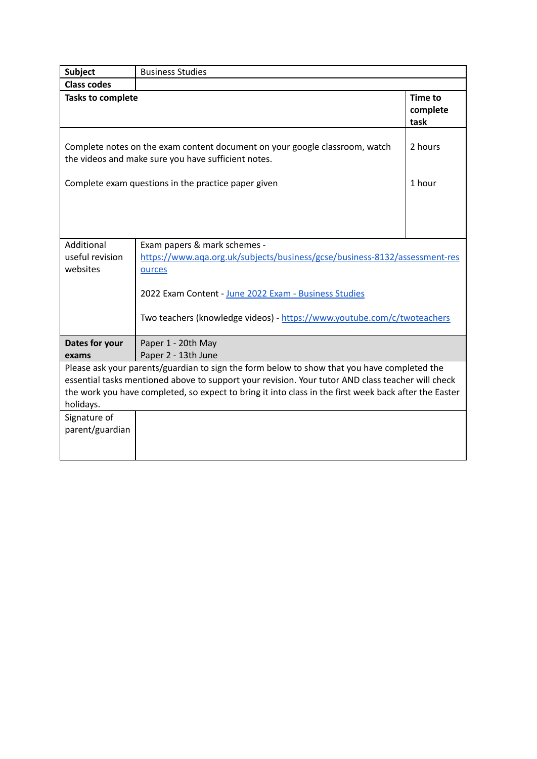| <b>Subject</b>                                                                                                                     | <b>Business Studies</b>                                                                               |                                    |  |  |  |
|------------------------------------------------------------------------------------------------------------------------------------|-------------------------------------------------------------------------------------------------------|------------------------------------|--|--|--|
| <b>Class codes</b>                                                                                                                 |                                                                                                       |                                    |  |  |  |
| <b>Tasks to complete</b>                                                                                                           |                                                                                                       | <b>Time to</b><br>complete<br>task |  |  |  |
| Complete notes on the exam content document on your google classroom, watch<br>the videos and make sure you have sufficient notes. |                                                                                                       |                                    |  |  |  |
|                                                                                                                                    | Complete exam questions in the practice paper given                                                   | 1 hour                             |  |  |  |
|                                                                                                                                    |                                                                                                       |                                    |  |  |  |
|                                                                                                                                    |                                                                                                       |                                    |  |  |  |
|                                                                                                                                    |                                                                                                       |                                    |  |  |  |
| Additional                                                                                                                         | Exam papers & mark schemes -                                                                          |                                    |  |  |  |
| useful revision                                                                                                                    | https://www.aqa.org.uk/subjects/business/gcse/business-8132/assessment-res                            |                                    |  |  |  |
| websites                                                                                                                           | ources                                                                                                |                                    |  |  |  |
|                                                                                                                                    |                                                                                                       |                                    |  |  |  |
|                                                                                                                                    | 2022 Exam Content - June 2022 Exam - Business Studies                                                 |                                    |  |  |  |
|                                                                                                                                    | Two teachers (knowledge videos) - https://www.youtube.com/c/twoteachers                               |                                    |  |  |  |
| Dates for your                                                                                                                     | Paper 1 - 20th May                                                                                    |                                    |  |  |  |
| exams                                                                                                                              | Paper 2 - 13th June                                                                                   |                                    |  |  |  |
|                                                                                                                                    | Please ask your parents/guardian to sign the form below to show that you have completed the           |                                    |  |  |  |
|                                                                                                                                    | essential tasks mentioned above to support your revision. Your tutor AND class teacher will check     |                                    |  |  |  |
|                                                                                                                                    | the work you have completed, so expect to bring it into class in the first week back after the Easter |                                    |  |  |  |
| holidays.                                                                                                                          |                                                                                                       |                                    |  |  |  |
| Signature of<br>parent/guardian                                                                                                    |                                                                                                       |                                    |  |  |  |
|                                                                                                                                    |                                                                                                       |                                    |  |  |  |
|                                                                                                                                    |                                                                                                       |                                    |  |  |  |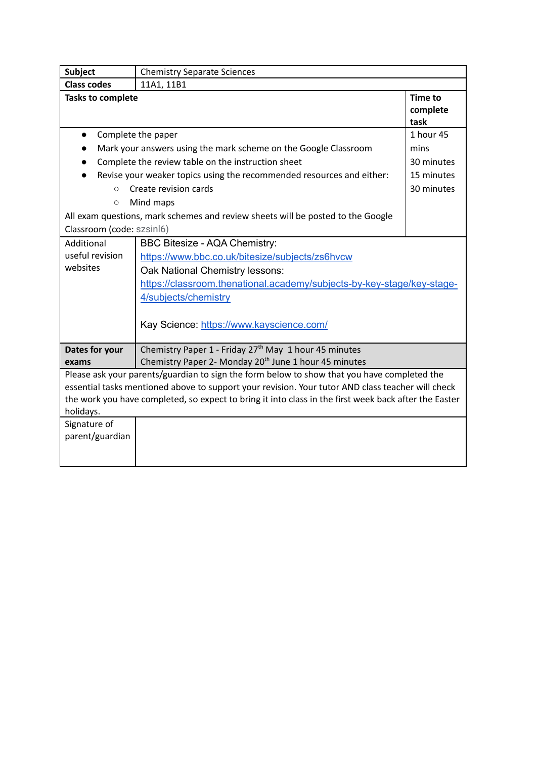| <b>Subject</b>                  | <b>Chemistry Separate Sciences</b>                                                                    |                                    |  |  |  |
|---------------------------------|-------------------------------------------------------------------------------------------------------|------------------------------------|--|--|--|
| <b>Class codes</b>              | 11A1, 11B1                                                                                            |                                    |  |  |  |
| <b>Tasks to complete</b>        |                                                                                                       | <b>Time to</b><br>complete<br>task |  |  |  |
| Complete the paper<br>$\bullet$ |                                                                                                       |                                    |  |  |  |
|                                 | Mark your answers using the mark scheme on the Google Classroom                                       | mins                               |  |  |  |
|                                 | Complete the review table on the instruction sheet                                                    | 30 minutes                         |  |  |  |
|                                 | Revise your weaker topics using the recommended resources and either:                                 | 15 minutes                         |  |  |  |
| $\circ$                         | Create revision cards                                                                                 | 30 minutes                         |  |  |  |
| $\circ$                         | Mind maps                                                                                             |                                    |  |  |  |
|                                 | All exam questions, mark schemes and review sheets will be posted to the Google                       |                                    |  |  |  |
| Classroom (code: szsinl6)       |                                                                                                       |                                    |  |  |  |
| Additional                      | BBC Bitesize - AQA Chemistry:                                                                         |                                    |  |  |  |
| useful revision                 | https://www.bbc.co.uk/bitesize/subjects/zs6hvcw                                                       |                                    |  |  |  |
| websites                        | Oak National Chemistry lessons:                                                                       |                                    |  |  |  |
|                                 | https://classroom.thenational.academy/subjects-by-key-stage/key-stage-                                |                                    |  |  |  |
|                                 | 4/subjects/chemistry                                                                                  |                                    |  |  |  |
|                                 | Kay Science: https://www.kayscience.com/                                                              |                                    |  |  |  |
| Dates for your                  | Chemistry Paper 1 - Friday 27 <sup>th</sup> May 1 hour 45 minutes                                     |                                    |  |  |  |
| exams                           | Chemistry Paper 2- Monday 20 <sup>th</sup> June 1 hour 45 minutes                                     |                                    |  |  |  |
|                                 | Please ask your parents/guardian to sign the form below to show that you have completed the           |                                    |  |  |  |
|                                 | essential tasks mentioned above to support your revision. Your tutor AND class teacher will check     |                                    |  |  |  |
|                                 | the work you have completed, so expect to bring it into class in the first week back after the Easter |                                    |  |  |  |
| holidays.                       |                                                                                                       |                                    |  |  |  |
| Signature of                    |                                                                                                       |                                    |  |  |  |
| parent/guardian                 |                                                                                                       |                                    |  |  |  |
|                                 |                                                                                                       |                                    |  |  |  |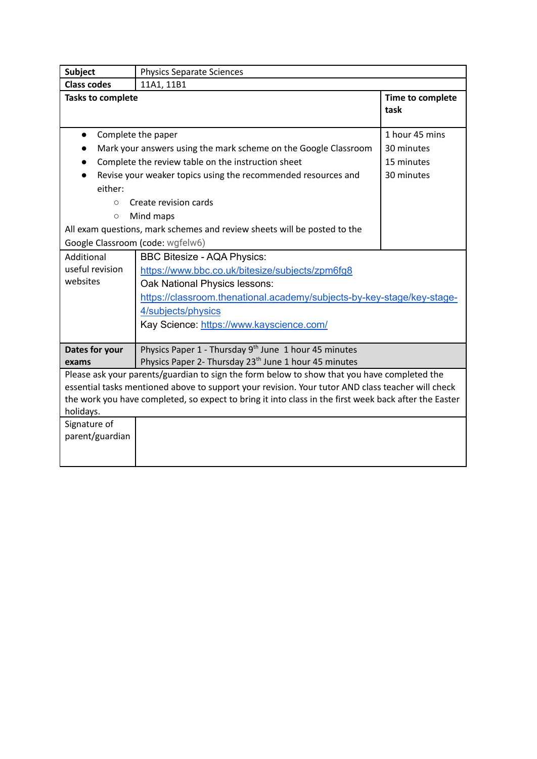| <b>Subject</b>                                                                                        | <b>Physics Separate Sciences</b>                                                                  |                          |  |  |  |  |
|-------------------------------------------------------------------------------------------------------|---------------------------------------------------------------------------------------------------|--------------------------|--|--|--|--|
| <b>Class codes</b>                                                                                    | 11A1, 11B1                                                                                        |                          |  |  |  |  |
| <b>Tasks to complete</b>                                                                              |                                                                                                   | Time to complete<br>task |  |  |  |  |
| $\bullet$                                                                                             | Complete the paper                                                                                | 1 hour 45 mins           |  |  |  |  |
|                                                                                                       | Mark your answers using the mark scheme on the Google Classroom                                   | 30 minutes               |  |  |  |  |
|                                                                                                       | Complete the review table on the instruction sheet                                                | 15 minutes               |  |  |  |  |
|                                                                                                       | Revise your weaker topics using the recommended resources and                                     | 30 minutes               |  |  |  |  |
| either:                                                                                               |                                                                                                   |                          |  |  |  |  |
| $\circ$                                                                                               | Create revision cards                                                                             |                          |  |  |  |  |
| $\circlearrowright$                                                                                   | Mind maps                                                                                         |                          |  |  |  |  |
|                                                                                                       | All exam questions, mark schemes and review sheets will be posted to the                          |                          |  |  |  |  |
|                                                                                                       | Google Classroom (code: wgfelw6)                                                                  |                          |  |  |  |  |
| Additional                                                                                            | <b>BBC Bitesize - AQA Physics:</b>                                                                |                          |  |  |  |  |
| useful revision                                                                                       | https://www.bbc.co.uk/bitesize/subjects/zpm6fg8                                                   |                          |  |  |  |  |
| websites                                                                                              | Oak National Physics lessons:                                                                     |                          |  |  |  |  |
|                                                                                                       | https://classroom.thenational.academy/subjects-by-key-stage/key-stage-                            |                          |  |  |  |  |
|                                                                                                       | 4/subjects/physics                                                                                |                          |  |  |  |  |
|                                                                                                       | Kay Science: https://www.kayscience.com/                                                          |                          |  |  |  |  |
|                                                                                                       |                                                                                                   |                          |  |  |  |  |
| Dates for your                                                                                        | Physics Paper 1 - Thursday 9 <sup>th</sup> June 1 hour 45 minutes                                 |                          |  |  |  |  |
| exams                                                                                                 | Physics Paper 2- Thursday 23 <sup>th</sup> June 1 hour 45 minutes                                 |                          |  |  |  |  |
|                                                                                                       | Please ask your parents/guardian to sign the form below to show that you have completed the       |                          |  |  |  |  |
|                                                                                                       | essential tasks mentioned above to support your revision. Your tutor AND class teacher will check |                          |  |  |  |  |
| the work you have completed, so expect to bring it into class in the first week back after the Easter |                                                                                                   |                          |  |  |  |  |
| holidays.                                                                                             |                                                                                                   |                          |  |  |  |  |
| Signature of                                                                                          |                                                                                                   |                          |  |  |  |  |
| parent/guardian                                                                                       |                                                                                                   |                          |  |  |  |  |
|                                                                                                       |                                                                                                   |                          |  |  |  |  |
|                                                                                                       |                                                                                                   |                          |  |  |  |  |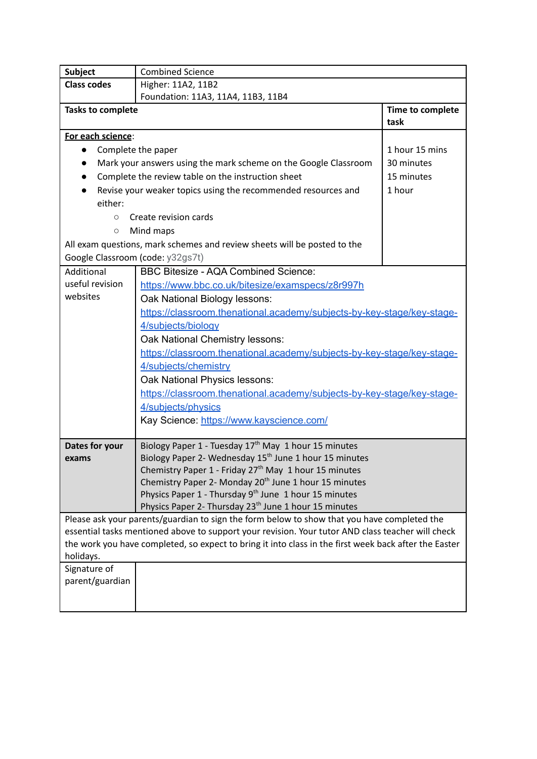| <b>Subject</b>                   | <b>Combined Science</b>                                                                                                                                                                          |                  |
|----------------------------------|--------------------------------------------------------------------------------------------------------------------------------------------------------------------------------------------------|------------------|
| <b>Class codes</b>               | Higher: 11A2, 11B2                                                                                                                                                                               |                  |
|                                  | Foundation: 11A3, 11A4, 11B3, 11B4                                                                                                                                                               |                  |
| <b>Tasks to complete</b>         |                                                                                                                                                                                                  | Time to complete |
|                                  | task                                                                                                                                                                                             |                  |
| For each science:                |                                                                                                                                                                                                  |                  |
| $\bullet$                        | Complete the paper                                                                                                                                                                               | 1 hour 15 mins   |
|                                  | Mark your answers using the mark scheme on the Google Classroom                                                                                                                                  | 30 minutes       |
|                                  | Complete the review table on the instruction sheet                                                                                                                                               | 15 minutes       |
|                                  | Revise your weaker topics using the recommended resources and                                                                                                                                    | 1 hour           |
| either:                          |                                                                                                                                                                                                  |                  |
| $\circ$                          | Create revision cards                                                                                                                                                                            |                  |
| $\circ$                          | Mind maps                                                                                                                                                                                        |                  |
|                                  | All exam questions, mark schemes and review sheets will be posted to the                                                                                                                         |                  |
| Google Classroom (code: y32gs7t) |                                                                                                                                                                                                  |                  |
| Additional                       | <b>BBC Bitesize - AQA Combined Science:</b>                                                                                                                                                      |                  |
| useful revision                  | https://www.bbc.co.uk/bitesize/examspecs/z8r997h                                                                                                                                                 |                  |
| websites                         | Oak National Biology lessons:                                                                                                                                                                    |                  |
|                                  | https://classroom.thenational.academy/subjects-by-key-stage/key-stage-                                                                                                                           |                  |
|                                  | 4/subjects/biology                                                                                                                                                                               |                  |
|                                  | Oak National Chemistry lessons:                                                                                                                                                                  |                  |
|                                  | https://classroom.thenational.academy/subjects-by-key-stage/key-stage-                                                                                                                           |                  |
|                                  | 4/subjects/chemistry                                                                                                                                                                             |                  |
|                                  | Oak National Physics lessons:                                                                                                                                                                    |                  |
|                                  | https://classroom.thenational.academy/subjects-by-key-stage/key-stage-                                                                                                                           |                  |
|                                  | 4/subjects/physics                                                                                                                                                                               |                  |
|                                  | Kay Science: https://www.kayscience.com/                                                                                                                                                         |                  |
|                                  |                                                                                                                                                                                                  |                  |
| Dates for your                   | Biology Paper 1 - Tuesday 17 <sup>th</sup> May 1 hour 15 minutes                                                                                                                                 |                  |
| exams                            | Biology Paper 2- Wednesday 15 <sup>th</sup> June 1 hour 15 minutes                                                                                                                               |                  |
|                                  | Chemistry Paper 1 - Friday 27 <sup>th</sup> May 1 hour 15 minutes                                                                                                                                |                  |
|                                  | Chemistry Paper 2- Monday 20 <sup>th</sup> June 1 hour 15 minutes                                                                                                                                |                  |
|                                  | Physics Paper 1 - Thursday 9 <sup>th</sup> June 1 hour 15 minutes                                                                                                                                |                  |
|                                  | Physics Paper 2- Thursday 23 <sup>th</sup> June 1 hour 15 minutes                                                                                                                                |                  |
|                                  | Please ask your parents/guardian to sign the form below to show that you have completed the<br>essential tasks mentioned above to support your revision. Your tutor AND class teacher will check |                  |
|                                  | the work you have completed, so expect to bring it into class in the first week back after the Easter                                                                                            |                  |
| holidays.                        |                                                                                                                                                                                                  |                  |
| Signature of                     |                                                                                                                                                                                                  |                  |
| parent/guardian                  |                                                                                                                                                                                                  |                  |
|                                  |                                                                                                                                                                                                  |                  |
|                                  |                                                                                                                                                                                                  |                  |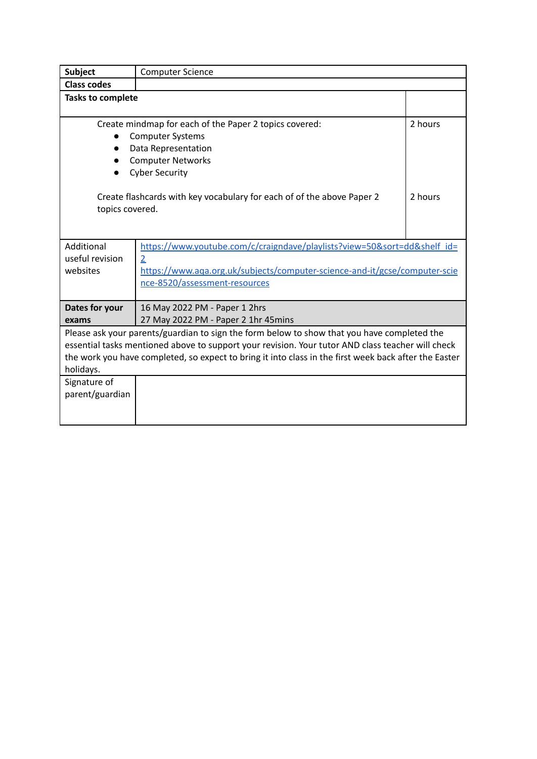| <b>Subject</b>                                                                                                                                                                                                                                                                                                         | <b>Computer Science</b>                                                                                     |         |  |  |  |
|------------------------------------------------------------------------------------------------------------------------------------------------------------------------------------------------------------------------------------------------------------------------------------------------------------------------|-------------------------------------------------------------------------------------------------------------|---------|--|--|--|
| <b>Class codes</b>                                                                                                                                                                                                                                                                                                     |                                                                                                             |         |  |  |  |
| <b>Tasks to complete</b>                                                                                                                                                                                                                                                                                               |                                                                                                             |         |  |  |  |
|                                                                                                                                                                                                                                                                                                                        | Create mindmap for each of the Paper 2 topics covered:                                                      | 2 hours |  |  |  |
|                                                                                                                                                                                                                                                                                                                        | <b>Computer Systems</b>                                                                                     |         |  |  |  |
|                                                                                                                                                                                                                                                                                                                        | Data Representation                                                                                         |         |  |  |  |
|                                                                                                                                                                                                                                                                                                                        | <b>Computer Networks</b>                                                                                    |         |  |  |  |
|                                                                                                                                                                                                                                                                                                                        | <b>Cyber Security</b>                                                                                       |         |  |  |  |
| topics covered.                                                                                                                                                                                                                                                                                                        | Create flashcards with key vocabulary for each of of the above Paper 2                                      | 2 hours |  |  |  |
| Additional                                                                                                                                                                                                                                                                                                             | https://www.youtube.com/c/craigndave/playlists?view=50&sort=dd&shelf_id=                                    |         |  |  |  |
| useful revision<br>websites                                                                                                                                                                                                                                                                                            | $\overline{2}$                                                                                              |         |  |  |  |
|                                                                                                                                                                                                                                                                                                                        | https://www.aqa.org.uk/subjects/computer-science-and-it/gcse/computer-scie<br>nce-8520/assessment-resources |         |  |  |  |
|                                                                                                                                                                                                                                                                                                                        |                                                                                                             |         |  |  |  |
| Dates for your                                                                                                                                                                                                                                                                                                         | 16 May 2022 PM - Paper 1 2hrs                                                                               |         |  |  |  |
| exams                                                                                                                                                                                                                                                                                                                  | 27 May 2022 PM - Paper 2 1hr 45mins                                                                         |         |  |  |  |
| Please ask your parents/guardian to sign the form below to show that you have completed the<br>essential tasks mentioned above to support your revision. Your tutor AND class teacher will check<br>the work you have completed, so expect to bring it into class in the first week back after the Easter<br>holidays. |                                                                                                             |         |  |  |  |
| Signature of                                                                                                                                                                                                                                                                                                           |                                                                                                             |         |  |  |  |
| parent/guardian                                                                                                                                                                                                                                                                                                        |                                                                                                             |         |  |  |  |
|                                                                                                                                                                                                                                                                                                                        |                                                                                                             |         |  |  |  |
|                                                                                                                                                                                                                                                                                                                        |                                                                                                             |         |  |  |  |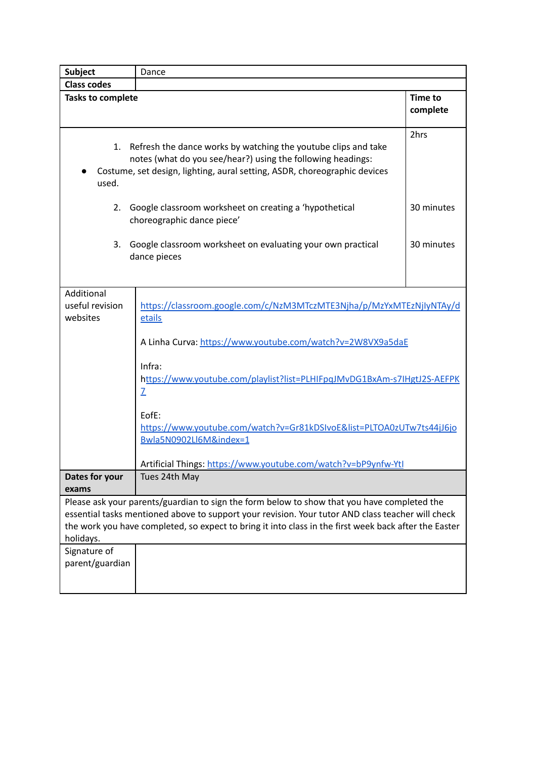| <b>Subject</b>                            | Dance                                                                                                                                                                                                                                                                                                     |                            |
|-------------------------------------------|-----------------------------------------------------------------------------------------------------------------------------------------------------------------------------------------------------------------------------------------------------------------------------------------------------------|----------------------------|
| <b>Class codes</b>                        |                                                                                                                                                                                                                                                                                                           |                            |
| <b>Tasks to complete</b>                  |                                                                                                                                                                                                                                                                                                           | <b>Time to</b><br>complete |
| 1.<br>used.                               | Refresh the dance works by watching the youtube clips and take<br>notes (what do you see/hear?) using the following headings:<br>Costume, set design, lighting, aural setting, ASDR, choreographic devices                                                                                                | 2hrs                       |
| 2.                                        | Google classroom worksheet on creating a 'hypothetical<br>choreographic dance piece'                                                                                                                                                                                                                      | 30 minutes                 |
| 3.                                        | Google classroom worksheet on evaluating your own practical<br>dance pieces                                                                                                                                                                                                                               | 30 minutes                 |
| Additional<br>useful revision<br>websites | https://classroom.google.com/c/NzM3MTczMTE3Njha/p/MzYxMTEzNjlyNTAy/d<br>etails                                                                                                                                                                                                                            |                            |
|                                           | A Linha Curva: https://www.youtube.com/watch?v=2W8VX9a5daE                                                                                                                                                                                                                                                |                            |
|                                           | Infra:<br>https://www.youtube.com/playlist?list=PLHIFpqJMvDG1BxAm-s7lHgtJ2S-AEFPK<br>Z                                                                                                                                                                                                                    |                            |
|                                           | EofE:<br>https://www.youtube.com/watch?v=Gr81kDSIvoE&list=PLTOA0zUTw7ts44jJ6jo<br>Bwla5N0902Ll6M&index=1<br>Artificial Things: https://www.youtube.com/watch?v=bP9ynfw-Ytl                                                                                                                                |                            |
| Dates for your                            | Tues 24th May                                                                                                                                                                                                                                                                                             |                            |
| exams                                     |                                                                                                                                                                                                                                                                                                           |                            |
| holidays.                                 | Please ask your parents/guardian to sign the form below to show that you have completed the<br>essential tasks mentioned above to support your revision. Your tutor AND class teacher will check<br>the work you have completed, so expect to bring it into class in the first week back after the Easter |                            |
| Signature of<br>parent/guardian           |                                                                                                                                                                                                                                                                                                           |                            |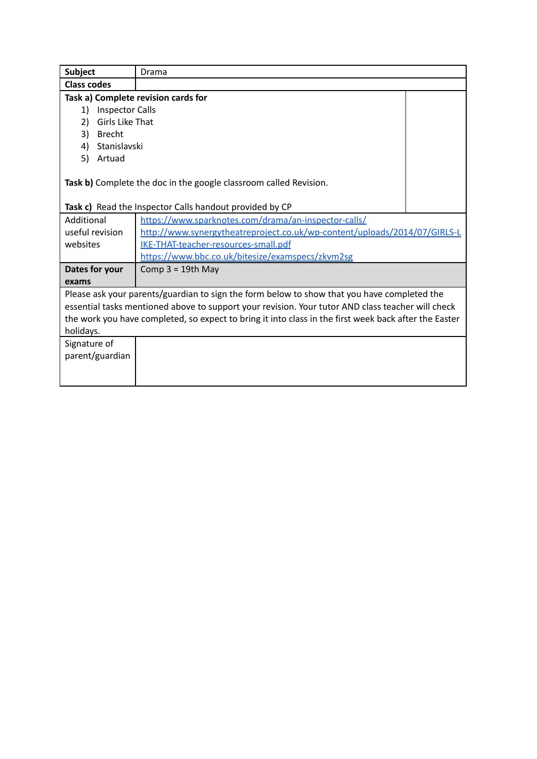| Drama                                                                                                 |                                      |  |  |  |
|-------------------------------------------------------------------------------------------------------|--------------------------------------|--|--|--|
| <b>Class codes</b>                                                                                    |                                      |  |  |  |
| Task a) Complete revision cards for                                                                   |                                      |  |  |  |
| <b>Inspector Calls</b>                                                                                |                                      |  |  |  |
| Girls Like That                                                                                       |                                      |  |  |  |
|                                                                                                       |                                      |  |  |  |
| Stanislavski                                                                                          |                                      |  |  |  |
|                                                                                                       |                                      |  |  |  |
|                                                                                                       |                                      |  |  |  |
| Task b) Complete the doc in the google classroom called Revision.                                     |                                      |  |  |  |
|                                                                                                       |                                      |  |  |  |
| Task c) Read the Inspector Calls handout provided by CP                                               |                                      |  |  |  |
| https://www.sparknotes.com/drama/an-inspector-calls/                                                  |                                      |  |  |  |
| http://www.synergytheatreproject.co.uk/wp-content/uploads/2014/07/GIRLS-L                             |                                      |  |  |  |
|                                                                                                       |                                      |  |  |  |
| https://www.bbc.co.uk/bitesize/examspecs/zkvm2sg                                                      |                                      |  |  |  |
| Comp $3 = 19$ th May                                                                                  |                                      |  |  |  |
|                                                                                                       |                                      |  |  |  |
| Please ask your parents/guardian to sign the form below to show that you have completed the           |                                      |  |  |  |
| essential tasks mentioned above to support your revision. Your tutor AND class teacher will check     |                                      |  |  |  |
| the work you have completed, so expect to bring it into class in the first week back after the Easter |                                      |  |  |  |
|                                                                                                       |                                      |  |  |  |
|                                                                                                       |                                      |  |  |  |
|                                                                                                       |                                      |  |  |  |
|                                                                                                       |                                      |  |  |  |
|                                                                                                       |                                      |  |  |  |
|                                                                                                       | IKE-THAT-teacher-resources-small.pdf |  |  |  |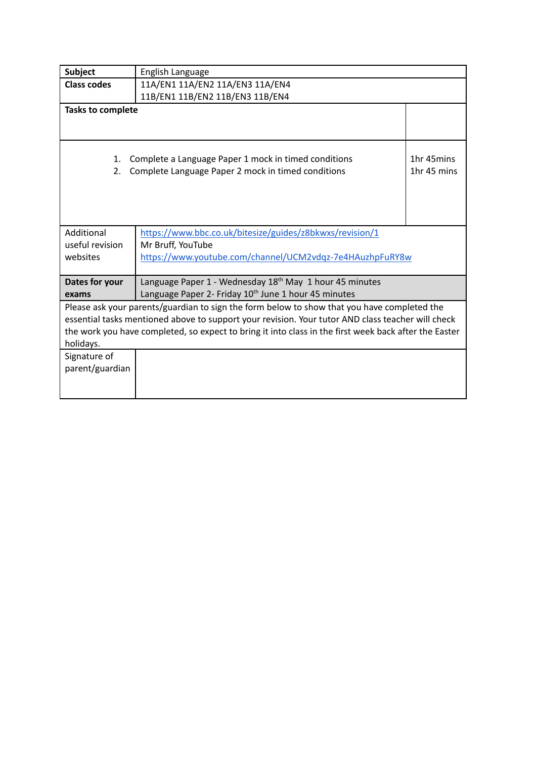| <b>Subject</b>                                                                                                                                                                                             | English Language                                                                                           |                           |
|------------------------------------------------------------------------------------------------------------------------------------------------------------------------------------------------------------|------------------------------------------------------------------------------------------------------------|---------------------------|
| <b>Class codes</b>                                                                                                                                                                                         | 11A/EN1 11A/EN2 11A/EN3 11A/EN4                                                                            |                           |
| 11B/EN1 11B/EN2 11B/EN3 11B/EN4                                                                                                                                                                            |                                                                                                            |                           |
| <b>Tasks to complete</b>                                                                                                                                                                                   |                                                                                                            |                           |
|                                                                                                                                                                                                            |                                                                                                            |                           |
| 1.<br>2.                                                                                                                                                                                                   | Complete a Language Paper 1 mock in timed conditions<br>Complete Language Paper 2 mock in timed conditions | 1hr 45mins<br>1hr 45 mins |
| Additional                                                                                                                                                                                                 | https://www.bbc.co.uk/bitesize/guides/z8bkwxs/revision/1                                                   |                           |
| useful revision                                                                                                                                                                                            | Mr Bruff, YouTube                                                                                          |                           |
| websites                                                                                                                                                                                                   | https://www.youtube.com/channel/UCM2vdqz-7e4HAuzhpFuRY8w                                                   |                           |
|                                                                                                                                                                                                            |                                                                                                            |                           |
| Dates for your                                                                                                                                                                                             | Language Paper 1 - Wednesday 18 <sup>th</sup> May 1 hour 45 minutes                                        |                           |
| exams                                                                                                                                                                                                      | Language Paper 2- Friday 10 <sup>th</sup> June 1 hour 45 minutes                                           |                           |
|                                                                                                                                                                                                            | Please ask your parents/guardian to sign the form below to show that you have completed the                |                           |
| essential tasks mentioned above to support your revision. Your tutor AND class teacher will check<br>the work you have completed, so expect to bring it into class in the first week back after the Easter |                                                                                                            |                           |
| holidays.                                                                                                                                                                                                  |                                                                                                            |                           |
| Signature of                                                                                                                                                                                               |                                                                                                            |                           |
| parent/guardian                                                                                                                                                                                            |                                                                                                            |                           |
|                                                                                                                                                                                                            |                                                                                                            |                           |
|                                                                                                                                                                                                            |                                                                                                            |                           |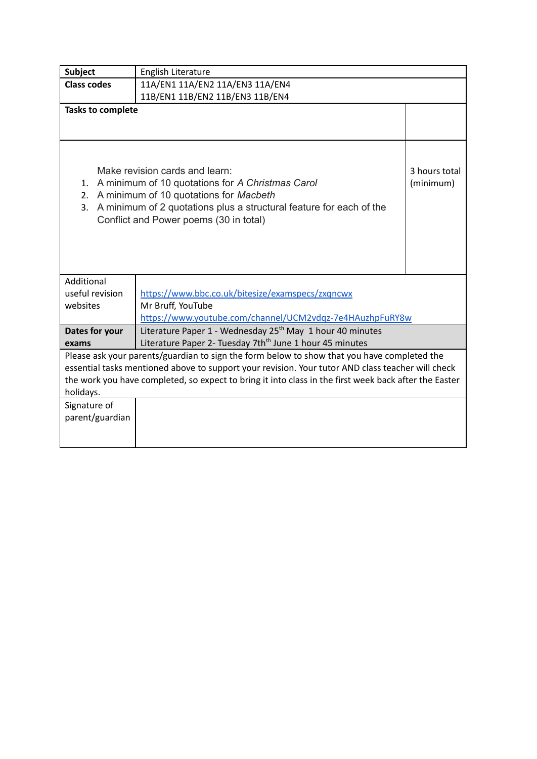| <b>Subject</b>                                                                                        | English Literature                                                                                |               |
|-------------------------------------------------------------------------------------------------------|---------------------------------------------------------------------------------------------------|---------------|
| <b>Class codes</b>                                                                                    | 11A/EN1 11A/EN2 11A/EN3 11A/EN4                                                                   |               |
| 11B/EN1 11B/EN2 11B/EN3 11B/EN4                                                                       |                                                                                                   |               |
| <b>Tasks to complete</b>                                                                              |                                                                                                   |               |
|                                                                                                       |                                                                                                   |               |
|                                                                                                       |                                                                                                   |               |
|                                                                                                       |                                                                                                   |               |
|                                                                                                       | Make revision cards and learn:                                                                    | 3 hours total |
| 1.                                                                                                    | A minimum of 10 quotations for A Christmas Carol                                                  | (minimum)     |
| 2.                                                                                                    | A minimum of 10 quotations for Macbeth                                                            |               |
| 3.                                                                                                    | A minimum of 2 quotations plus a structural feature for each of the                               |               |
|                                                                                                       | Conflict and Power poems (30 in total)                                                            |               |
|                                                                                                       |                                                                                                   |               |
|                                                                                                       |                                                                                                   |               |
|                                                                                                       |                                                                                                   |               |
|                                                                                                       |                                                                                                   |               |
| Additional                                                                                            |                                                                                                   |               |
| useful revision                                                                                       | https://www.bbc.co.uk/bitesize/examspecs/zxqncwx                                                  |               |
| websites                                                                                              | Mr Bruff, YouTube                                                                                 |               |
|                                                                                                       | https://www.youtube.com/channel/UCM2vdqz-7e4HAuzhpFuRY8w                                          |               |
| Dates for your                                                                                        | Literature Paper 1 - Wednesday 25 <sup>th</sup> May 1 hour 40 minutes                             |               |
| exams                                                                                                 | Literature Paper 2- Tuesday 7th <sup>th</sup> June 1 hour 45 minutes                              |               |
| Please ask your parents/guardian to sign the form below to show that you have completed the           |                                                                                                   |               |
|                                                                                                       | essential tasks mentioned above to support your revision. Your tutor AND class teacher will check |               |
| the work you have completed, so expect to bring it into class in the first week back after the Easter |                                                                                                   |               |
| holidays.                                                                                             |                                                                                                   |               |
| Signature of                                                                                          |                                                                                                   |               |
| parent/guardian                                                                                       |                                                                                                   |               |
|                                                                                                       |                                                                                                   |               |
|                                                                                                       |                                                                                                   |               |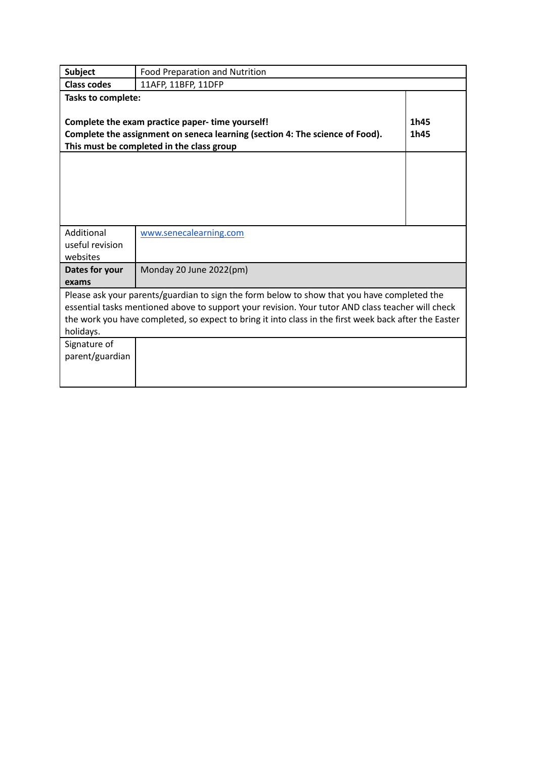| <b>Subject</b>                                                                                                                                                                               | Food Preparation and Nutrition                                                                                                                                                                             |  |
|----------------------------------------------------------------------------------------------------------------------------------------------------------------------------------------------|------------------------------------------------------------------------------------------------------------------------------------------------------------------------------------------------------------|--|
| <b>Class codes</b>                                                                                                                                                                           | 11AFP, 11BFP, 11DFP                                                                                                                                                                                        |  |
| <b>Tasks to complete:</b>                                                                                                                                                                    |                                                                                                                                                                                                            |  |
| 1h45<br>Complete the exam practice paper-time yourself!<br>Complete the assignment on seneca learning (section 4: The science of Food).<br>1h45<br>This must be completed in the class group |                                                                                                                                                                                                            |  |
|                                                                                                                                                                                              |                                                                                                                                                                                                            |  |
|                                                                                                                                                                                              |                                                                                                                                                                                                            |  |
|                                                                                                                                                                                              |                                                                                                                                                                                                            |  |
|                                                                                                                                                                                              |                                                                                                                                                                                                            |  |
| Additional                                                                                                                                                                                   | www.senecalearning.com                                                                                                                                                                                     |  |
| useful revision<br>websites                                                                                                                                                                  |                                                                                                                                                                                                            |  |
| Dates for your                                                                                                                                                                               | Monday 20 June 2022(pm)                                                                                                                                                                                    |  |
| exams                                                                                                                                                                                        |                                                                                                                                                                                                            |  |
|                                                                                                                                                                                              | Please ask your parents/guardian to sign the form below to show that you have completed the                                                                                                                |  |
|                                                                                                                                                                                              | essential tasks mentioned above to support your revision. Your tutor AND class teacher will check<br>the work you have completed, so expect to bring it into class in the first week back after the Easter |  |
| holidays.                                                                                                                                                                                    |                                                                                                                                                                                                            |  |
| Signature of                                                                                                                                                                                 |                                                                                                                                                                                                            |  |
| parent/guardian                                                                                                                                                                              |                                                                                                                                                                                                            |  |
|                                                                                                                                                                                              |                                                                                                                                                                                                            |  |
|                                                                                                                                                                                              |                                                                                                                                                                                                            |  |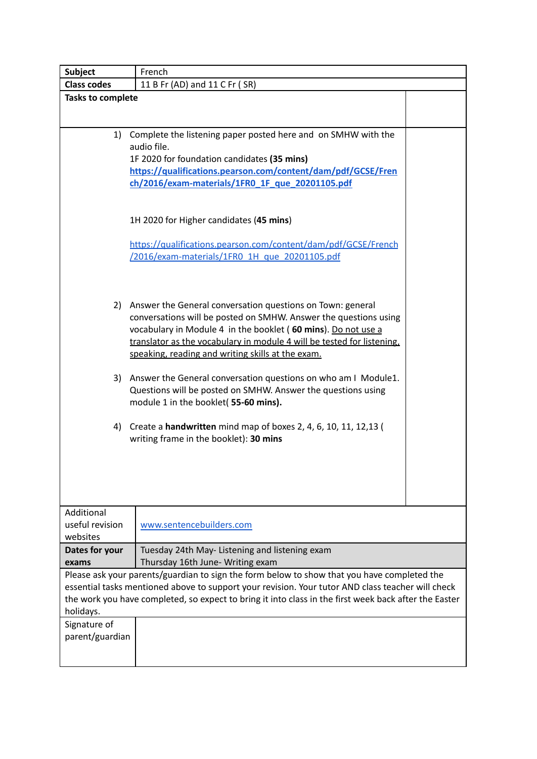| <b>Subject</b>                                                                                    | French                                                                                                                            |  |
|---------------------------------------------------------------------------------------------------|-----------------------------------------------------------------------------------------------------------------------------------|--|
| <b>Class codes</b>                                                                                | 11 B Fr (AD) and 11 C Fr (SR)                                                                                                     |  |
| <b>Tasks to complete</b>                                                                          |                                                                                                                                   |  |
|                                                                                                   |                                                                                                                                   |  |
|                                                                                                   | 1) Complete the listening paper posted here and on SMHW with the                                                                  |  |
|                                                                                                   | audio file.                                                                                                                       |  |
|                                                                                                   | 1F 2020 for foundation candidates (35 mins)                                                                                       |  |
|                                                                                                   | https://qualifications.pearson.com/content/dam/pdf/GCSE/Fren                                                                      |  |
|                                                                                                   | ch/2016/exam-materials/1FR0 1F que 20201105.pdf                                                                                   |  |
|                                                                                                   |                                                                                                                                   |  |
|                                                                                                   |                                                                                                                                   |  |
|                                                                                                   | 1H 2020 for Higher candidates (45 mins)                                                                                           |  |
|                                                                                                   | https://qualifications.pearson.com/content/dam/pdf/GCSE/French                                                                    |  |
|                                                                                                   | /2016/exam-materials/1FR0 1H que 20201105.pdf                                                                                     |  |
|                                                                                                   |                                                                                                                                   |  |
|                                                                                                   |                                                                                                                                   |  |
|                                                                                                   |                                                                                                                                   |  |
|                                                                                                   | 2) Answer the General conversation questions on Town: general<br>conversations will be posted on SMHW. Answer the questions using |  |
|                                                                                                   | vocabulary in Module 4 in the booklet (60 mins). Do not use a                                                                     |  |
|                                                                                                   | translator as the vocabulary in module 4 will be tested for listening,                                                            |  |
|                                                                                                   | speaking, reading and writing skills at the exam.                                                                                 |  |
|                                                                                                   |                                                                                                                                   |  |
|                                                                                                   | 3) Answer the General conversation questions on who am I Module1.                                                                 |  |
|                                                                                                   | Questions will be posted on SMHW. Answer the questions using                                                                      |  |
|                                                                                                   | module 1 in the booklet( 55-60 mins).                                                                                             |  |
|                                                                                                   |                                                                                                                                   |  |
| 4)                                                                                                | Create a <b>handwritten</b> mind map of boxes 2, 4, 6, 10, 11, 12, 13 (                                                           |  |
|                                                                                                   | writing frame in the booklet): 30 mins                                                                                            |  |
|                                                                                                   |                                                                                                                                   |  |
|                                                                                                   |                                                                                                                                   |  |
|                                                                                                   |                                                                                                                                   |  |
|                                                                                                   |                                                                                                                                   |  |
| Additional                                                                                        |                                                                                                                                   |  |
| useful revision<br>websites                                                                       | www.sentencebuilders.com                                                                                                          |  |
| Dates for your                                                                                    | Tuesday 24th May- Listening and listening exam                                                                                    |  |
| exams                                                                                             | Thursday 16th June- Writing exam                                                                                                  |  |
| Please ask your parents/guardian to sign the form below to show that you have completed the       |                                                                                                                                   |  |
| essential tasks mentioned above to support your revision. Your tutor AND class teacher will check |                                                                                                                                   |  |
|                                                                                                   | the work you have completed, so expect to bring it into class in the first week back after the Easter                             |  |
| holidays.                                                                                         |                                                                                                                                   |  |
| Signature of                                                                                      |                                                                                                                                   |  |
| parent/guardian                                                                                   |                                                                                                                                   |  |
|                                                                                                   |                                                                                                                                   |  |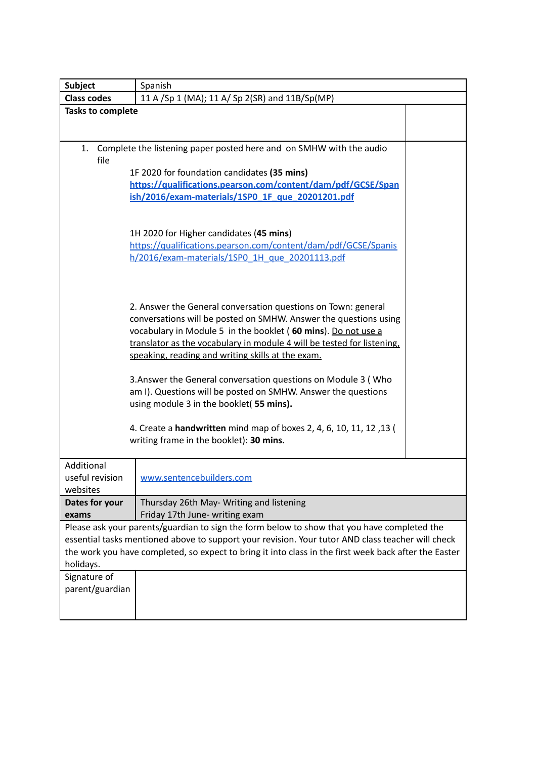| <b>Subject</b>                                                                                        | Spanish                                                                                                                                 |  |
|-------------------------------------------------------------------------------------------------------|-----------------------------------------------------------------------------------------------------------------------------------------|--|
| <b>Class codes</b>                                                                                    | 11 A /Sp 1 (MA); 11 A/ Sp 2(SR) and 11B/Sp(MP)                                                                                          |  |
| <b>Tasks to complete</b>                                                                              |                                                                                                                                         |  |
|                                                                                                       |                                                                                                                                         |  |
| 1.                                                                                                    | Complete the listening paper posted here and on SMHW with the audio                                                                     |  |
| file                                                                                                  |                                                                                                                                         |  |
|                                                                                                       | 1F 2020 for foundation candidates (35 mins)                                                                                             |  |
|                                                                                                       | https://qualifications.pearson.com/content/dam/pdf/GCSE/Span                                                                            |  |
|                                                                                                       | ish/2016/exam-materials/1SP0_1F_que_20201201.pdf                                                                                        |  |
|                                                                                                       |                                                                                                                                         |  |
|                                                                                                       | 1H 2020 for Higher candidates (45 mins)                                                                                                 |  |
|                                                                                                       | https://qualifications.pearson.com/content/dam/pdf/GCSE/Spanis                                                                          |  |
|                                                                                                       | h/2016/exam-materials/1SP0 1H que 20201113.pdf                                                                                          |  |
|                                                                                                       |                                                                                                                                         |  |
|                                                                                                       |                                                                                                                                         |  |
|                                                                                                       |                                                                                                                                         |  |
|                                                                                                       | 2. Answer the General conversation questions on Town: general                                                                           |  |
| conversations will be posted on SMHW. Answer the questions using                                      |                                                                                                                                         |  |
|                                                                                                       | vocabulary in Module 5 in the booklet (60 mins). Do not use a<br>translator as the vocabulary in module 4 will be tested for listening, |  |
|                                                                                                       | speaking, reading and writing skills at the exam.                                                                                       |  |
|                                                                                                       |                                                                                                                                         |  |
|                                                                                                       | 3. Answer the General conversation questions on Module 3 (Who                                                                           |  |
|                                                                                                       | am I). Questions will be posted on SMHW. Answer the questions                                                                           |  |
| using module 3 in the booklet(55 mins).                                                               |                                                                                                                                         |  |
|                                                                                                       |                                                                                                                                         |  |
|                                                                                                       | 4. Create a handwritten mind map of boxes 2, 4, 6, 10, 11, 12, 13 (                                                                     |  |
|                                                                                                       | writing frame in the booklet): 30 mins.                                                                                                 |  |
| Additional                                                                                            |                                                                                                                                         |  |
| useful revision                                                                                       | www.sentencebuilders.com                                                                                                                |  |
| websites                                                                                              |                                                                                                                                         |  |
| Dates for your                                                                                        | Thursday 26th May- Writing and listening                                                                                                |  |
| exams                                                                                                 | Friday 17th June- writing exam                                                                                                          |  |
|                                                                                                       | Please ask your parents/guardian to sign the form below to show that you have completed the                                             |  |
| essential tasks mentioned above to support your revision. Your tutor AND class teacher will check     |                                                                                                                                         |  |
| the work you have completed, so expect to bring it into class in the first week back after the Easter |                                                                                                                                         |  |
| holidays.                                                                                             |                                                                                                                                         |  |
| Signature of                                                                                          |                                                                                                                                         |  |
| parent/guardian                                                                                       |                                                                                                                                         |  |
|                                                                                                       |                                                                                                                                         |  |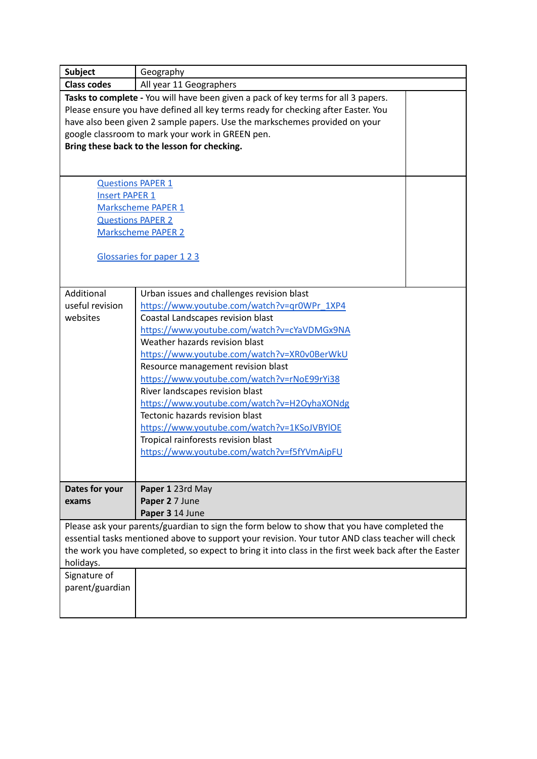| <b>Subject</b>                                                                                                                                                                                                                                                                                                         | Geography                                                                                                                                                                                                                                                                                                                                                                                                                                                                                                                                                                                                     |  |
|------------------------------------------------------------------------------------------------------------------------------------------------------------------------------------------------------------------------------------------------------------------------------------------------------------------------|---------------------------------------------------------------------------------------------------------------------------------------------------------------------------------------------------------------------------------------------------------------------------------------------------------------------------------------------------------------------------------------------------------------------------------------------------------------------------------------------------------------------------------------------------------------------------------------------------------------|--|
| <b>Class codes</b>                                                                                                                                                                                                                                                                                                     | All year 11 Geographers                                                                                                                                                                                                                                                                                                                                                                                                                                                                                                                                                                                       |  |
| <b>Questions PAPER 1</b><br><b>Insert PAPER 1</b><br><b>Questions PAPER 2</b>                                                                                                                                                                                                                                          | Tasks to complete - You will have been given a pack of key terms for all 3 papers.<br>Please ensure you have defined all key terms ready for checking after Easter. You<br>have also been given 2 sample papers. Use the markschemes provided on your<br>google classroom to mark your work in GREEN pen.<br>Bring these back to the lesson for checking.<br>Markscheme PAPER 1<br><b>Markscheme PAPER 2</b><br>Glossaries for paper 123                                                                                                                                                                      |  |
|                                                                                                                                                                                                                                                                                                                        |                                                                                                                                                                                                                                                                                                                                                                                                                                                                                                                                                                                                               |  |
| Additional<br>useful revision<br>websites                                                                                                                                                                                                                                                                              | Urban issues and challenges revision blast<br>https://www.youtube.com/watch?v=qr0WPr 1XP4<br>Coastal Landscapes revision blast<br>https://www.youtube.com/watch?v=cYaVDMGx9NA<br>Weather hazards revision blast<br>https://www.youtube.com/watch?v=XR0v0BerWkU<br>Resource management revision blast<br>https://www.youtube.com/watch?v=rNoE99rYi38<br>River landscapes revision blast<br>https://www.youtube.com/watch?v=H2OyhaXONdg<br>Tectonic hazards revision blast<br>https://www.youtube.com/watch?v=1KSoJVBYIOE<br>Tropical rainforests revision blast<br>https://www.youtube.com/watch?v=f5fYVmAipFU |  |
| Dates for your<br>exams                                                                                                                                                                                                                                                                                                | Paper 1 23rd May<br>Paper 2 7 June<br>Paper 3 14 June                                                                                                                                                                                                                                                                                                                                                                                                                                                                                                                                                         |  |
| Please ask your parents/guardian to sign the form below to show that you have completed the<br>essential tasks mentioned above to support your revision. Your tutor AND class teacher will check<br>the work you have completed, so expect to bring it into class in the first week back after the Easter<br>holidays. |                                                                                                                                                                                                                                                                                                                                                                                                                                                                                                                                                                                                               |  |
| Signature of<br>parent/guardian                                                                                                                                                                                                                                                                                        |                                                                                                                                                                                                                                                                                                                                                                                                                                                                                                                                                                                                               |  |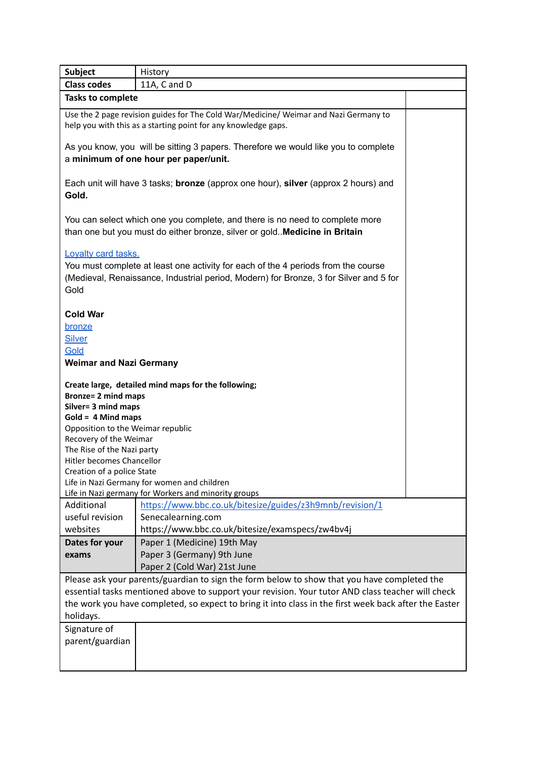| Subject                                                                                                                                                                                                                                                                                                                | History                                                                                                                                                                    |  |  |
|------------------------------------------------------------------------------------------------------------------------------------------------------------------------------------------------------------------------------------------------------------------------------------------------------------------------|----------------------------------------------------------------------------------------------------------------------------------------------------------------------------|--|--|
| <b>Class codes</b>                                                                                                                                                                                                                                                                                                     | 11A, C and D                                                                                                                                                               |  |  |
| <b>Tasks to complete</b>                                                                                                                                                                                                                                                                                               |                                                                                                                                                                            |  |  |
|                                                                                                                                                                                                                                                                                                                        | Use the 2 page revision guides for The Cold War/Medicine/ Weimar and Nazi Germany to<br>help you with this as a starting point for any knowledge gaps.                     |  |  |
|                                                                                                                                                                                                                                                                                                                        | As you know, you will be sitting 3 papers. Therefore we would like you to complete<br>a minimum of one hour per paper/unit.                                                |  |  |
| Gold.                                                                                                                                                                                                                                                                                                                  | Each unit will have 3 tasks; bronze (approx one hour), silver (approx 2 hours) and                                                                                         |  |  |
|                                                                                                                                                                                                                                                                                                                        | You can select which one you complete, and there is no need to complete more<br>than one but you must do either bronze, silver or gold Medicine in Britain                 |  |  |
| Loyalty card tasks.<br>Gold                                                                                                                                                                                                                                                                                            | You must complete at least one activity for each of the 4 periods from the course<br>(Medieval, Renaissance, Industrial period, Modern) for Bronze, 3 for Silver and 5 for |  |  |
| <b>Cold War</b><br>bronze<br><b>Silver</b><br>Gold<br><b>Weimar and Nazi Germany</b>                                                                                                                                                                                                                                   |                                                                                                                                                                            |  |  |
| <b>Bronze= 2 mind maps</b><br>Silver= 3 mind maps<br>$Gold = 4 Mind maps$<br>Opposition to the Weimar republic<br>Recovery of the Weimar<br>The Rise of the Nazi party<br>Hitler becomes Chancellor<br>Creation of a police State                                                                                      | Create large, detailed mind maps for the following;<br>Life in Nazi Germany for women and children<br>Life in Nazi germany for Workers and minority groups                 |  |  |
| Additional<br>useful revision<br>websites                                                                                                                                                                                                                                                                              | https://www.bbc.co.uk/bitesize/guides/z3h9mnb/revision/1<br>Senecalearning.com<br>https://www.bbc.co.uk/bitesize/examspecs/zw4bv4j                                         |  |  |
| Dates for your<br>exams                                                                                                                                                                                                                                                                                                | Paper 1 (Medicine) 19th May<br>Paper 3 (Germany) 9th June<br>Paper 2 (Cold War) 21st June                                                                                  |  |  |
| Please ask your parents/guardian to sign the form below to show that you have completed the<br>essential tasks mentioned above to support your revision. Your tutor AND class teacher will check<br>the work you have completed, so expect to bring it into class in the first week back after the Easter<br>holidays. |                                                                                                                                                                            |  |  |
| Signature of<br>parent/guardian                                                                                                                                                                                                                                                                                        |                                                                                                                                                                            |  |  |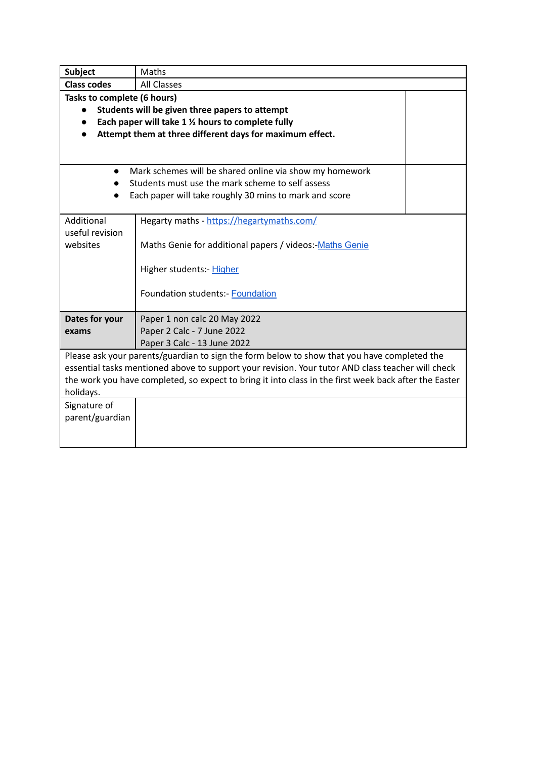| <b>Subject</b>     | Maths                                                                                                 |  |  |
|--------------------|-------------------------------------------------------------------------------------------------------|--|--|
| <b>Class codes</b> | <b>All Classes</b>                                                                                    |  |  |
|                    | Tasks to complete (6 hours)                                                                           |  |  |
|                    | Students will be given three papers to attempt                                                        |  |  |
|                    | Each paper will take 1 1/2 hours to complete fully                                                    |  |  |
|                    | Attempt them at three different days for maximum effect.                                              |  |  |
|                    |                                                                                                       |  |  |
|                    |                                                                                                       |  |  |
| $\bullet$          | Mark schemes will be shared online via show my homework                                               |  |  |
|                    | Students must use the mark scheme to self assess                                                      |  |  |
|                    | Each paper will take roughly 30 mins to mark and score                                                |  |  |
|                    |                                                                                                       |  |  |
| Additional         | Hegarty maths - https://hegartymaths.com/                                                             |  |  |
| useful revision    |                                                                                                       |  |  |
| websites           | Maths Genie for additional papers / videos: Maths Genie                                               |  |  |
|                    |                                                                                                       |  |  |
|                    | Higher students:- Higher                                                                              |  |  |
|                    | <b>Foundation students:- Foundation</b>                                                               |  |  |
|                    |                                                                                                       |  |  |
| Dates for your     | Paper 1 non calc 20 May 2022                                                                          |  |  |
| exams              | Paper 2 Calc - 7 June 2022                                                                            |  |  |
|                    | Paper 3 Calc - 13 June 2022                                                                           |  |  |
|                    | Please ask your parents/guardian to sign the form below to show that you have completed the           |  |  |
|                    | essential tasks mentioned above to support your revision. Your tutor AND class teacher will check     |  |  |
|                    | the work you have completed, so expect to bring it into class in the first week back after the Easter |  |  |
| holidays.          |                                                                                                       |  |  |
| Signature of       |                                                                                                       |  |  |
| parent/guardian    |                                                                                                       |  |  |
|                    |                                                                                                       |  |  |
|                    |                                                                                                       |  |  |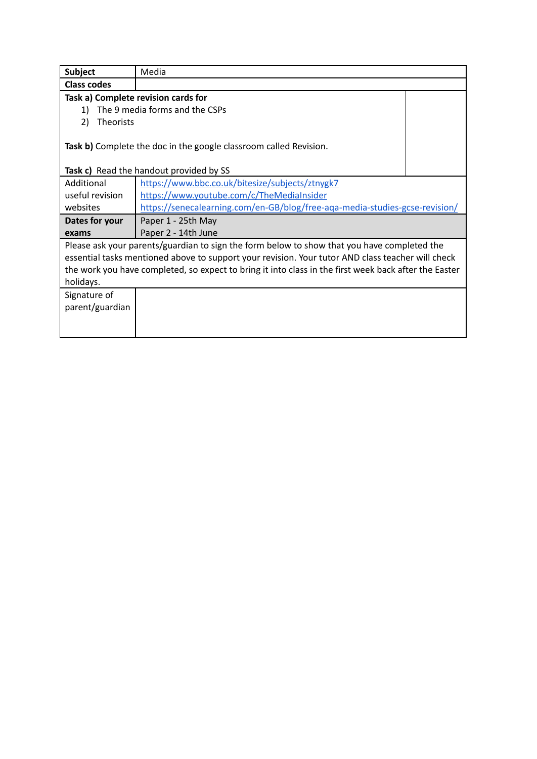| <b>Subject</b>         | Media                                                                                                        |  |
|------------------------|--------------------------------------------------------------------------------------------------------------|--|
| <b>Class codes</b>     |                                                                                                              |  |
|                        | Task a) Complete revision cards for                                                                          |  |
| 1)                     | The 9 media forms and the CSPs                                                                               |  |
| 2)<br><b>Theorists</b> |                                                                                                              |  |
|                        | Task b) Complete the doc in the google classroom called Revision.<br>Task c) Read the handout provided by SS |  |
| Additional             | https://www.bbc.co.uk/bitesize/subjects/ztnygk7                                                              |  |
| useful revision        | https://www.youtube.com/c/TheMediaInsider                                                                    |  |
|                        |                                                                                                              |  |
| websites               | https://senecalearning.com/en-GB/blog/free-aga-media-studies-gcse-revision/                                  |  |
| Dates for your         | Paper 1 - 25th May                                                                                           |  |
| exams                  | Paper 2 - 14th June                                                                                          |  |
|                        | Please ask your parents/guardian to sign the form below to show that you have completed the                  |  |
|                        | essential tasks mentioned above to support your revision. Your tutor AND class teacher will check            |  |
|                        | the work you have completed, so expect to bring it into class in the first week back after the Easter        |  |
| holidays.              |                                                                                                              |  |
| Signature of           |                                                                                                              |  |
| parent/guardian        |                                                                                                              |  |
|                        |                                                                                                              |  |
|                        |                                                                                                              |  |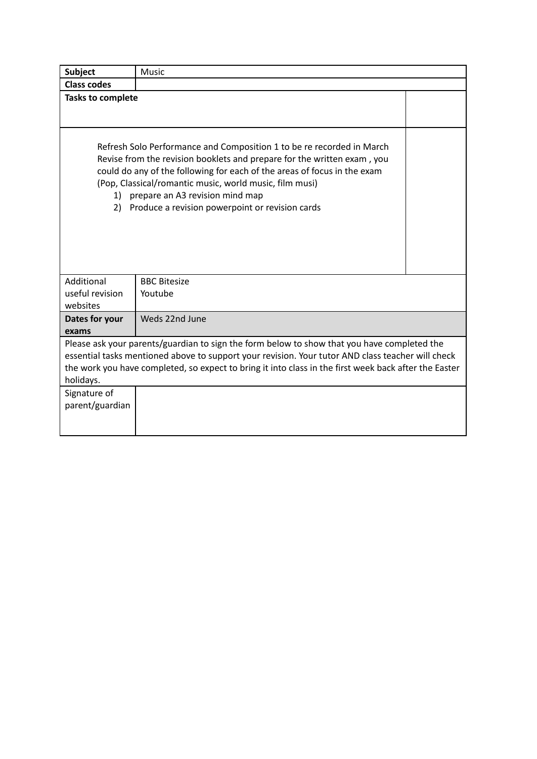| Subject                                                                                                                                                                                                                                                                                                                | Music                                                                                                                                                                                                                                                                                                                                                                         |  |
|------------------------------------------------------------------------------------------------------------------------------------------------------------------------------------------------------------------------------------------------------------------------------------------------------------------------|-------------------------------------------------------------------------------------------------------------------------------------------------------------------------------------------------------------------------------------------------------------------------------------------------------------------------------------------------------------------------------|--|
| <b>Class codes</b>                                                                                                                                                                                                                                                                                                     |                                                                                                                                                                                                                                                                                                                                                                               |  |
| <b>Tasks to complete</b>                                                                                                                                                                                                                                                                                               |                                                                                                                                                                                                                                                                                                                                                                               |  |
| 1)<br>2)                                                                                                                                                                                                                                                                                                               | Refresh Solo Performance and Composition 1 to be re recorded in March<br>Revise from the revision booklets and prepare for the written exam, you<br>could do any of the following for each of the areas of focus in the exam<br>(Pop, Classical/romantic music, world music, film musi)<br>prepare an A3 revision mind map<br>Produce a revision powerpoint or revision cards |  |
| Additional<br>useful revision<br>websites                                                                                                                                                                                                                                                                              | <b>BBC Bitesize</b><br>Youtube                                                                                                                                                                                                                                                                                                                                                |  |
| Dates for your<br>exams                                                                                                                                                                                                                                                                                                | Weds 22nd June                                                                                                                                                                                                                                                                                                                                                                |  |
| Please ask your parents/guardian to sign the form below to show that you have completed the<br>essential tasks mentioned above to support your revision. Your tutor AND class teacher will check<br>the work you have completed, so expect to bring it into class in the first week back after the Easter<br>holidays. |                                                                                                                                                                                                                                                                                                                                                                               |  |
| Signature of<br>parent/guardian                                                                                                                                                                                                                                                                                        |                                                                                                                                                                                                                                                                                                                                                                               |  |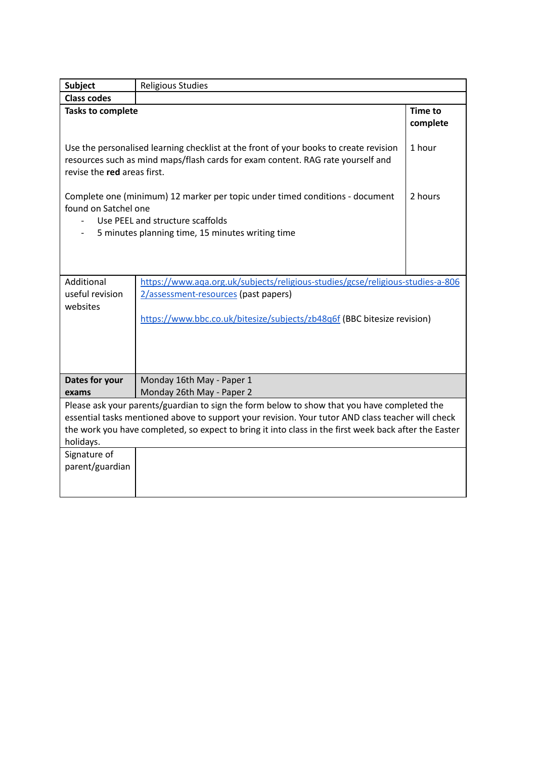| Subject                                                                                                                                                                                                                                                                                                                                                   | <b>Religious Studies</b>                                                                                                                                                                                |                     |  |
|-----------------------------------------------------------------------------------------------------------------------------------------------------------------------------------------------------------------------------------------------------------------------------------------------------------------------------------------------------------|---------------------------------------------------------------------------------------------------------------------------------------------------------------------------------------------------------|---------------------|--|
| <b>Class codes</b>                                                                                                                                                                                                                                                                                                                                        |                                                                                                                                                                                                         |                     |  |
| <b>Tasks to complete</b>                                                                                                                                                                                                                                                                                                                                  |                                                                                                                                                                                                         | Time to<br>complete |  |
| Use the personalised learning checklist at the front of your books to create revision<br>resources such as mind maps/flash cards for exam content. RAG rate yourself and<br>revise the red areas first.                                                                                                                                                   |                                                                                                                                                                                                         | 1 hour              |  |
|                                                                                                                                                                                                                                                                                                                                                           | 2 hours<br>Complete one (minimum) 12 marker per topic under timed conditions - document<br>found on Satchel one<br>Use PEEL and structure scaffolds<br>5 minutes planning time, 15 minutes writing time |                     |  |
| Additional<br>useful revision<br>websites                                                                                                                                                                                                                                                                                                                 | https://www.aga.org.uk/subjects/religious-studies/gcse/religious-studies-a-806<br>2/assessment-resources (past papers)<br>https://www.bbc.co.uk/bitesize/subjects/zb48q6f (BBC bitesize revision)       |                     |  |
| Dates for your                                                                                                                                                                                                                                                                                                                                            | Monday 16th May - Paper 1                                                                                                                                                                               |                     |  |
| exams                                                                                                                                                                                                                                                                                                                                                     | Monday 26th May - Paper 2                                                                                                                                                                               |                     |  |
| Please ask your parents/guardian to sign the form below to show that you have completed the<br>essential tasks mentioned above to support your revision. Your tutor AND class teacher will check<br>the work you have completed, so expect to bring it into class in the first week back after the Easter<br>holidays.<br>Signature of<br>parent/guardian |                                                                                                                                                                                                         |                     |  |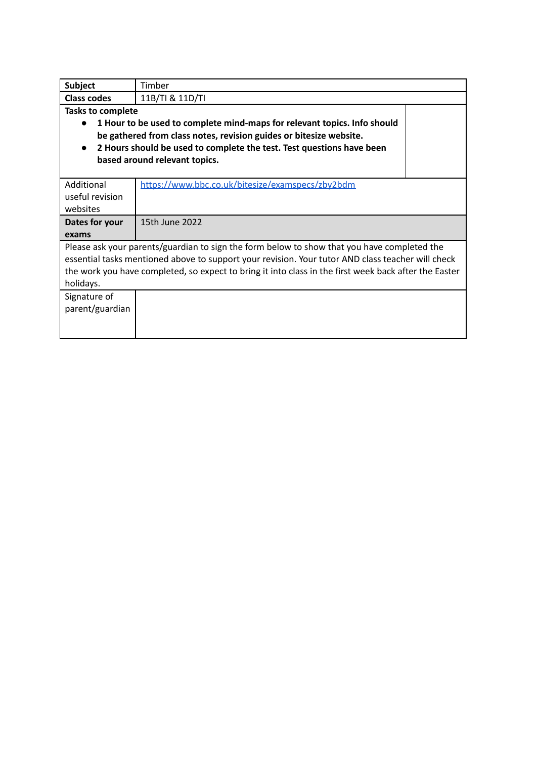| <b>Subject</b>                                                                                        | Timber                                           |  |  |  |
|-------------------------------------------------------------------------------------------------------|--------------------------------------------------|--|--|--|
| <b>Class codes</b>                                                                                    | 11B/TI & 11D/TI                                  |  |  |  |
| <b>Tasks to complete</b>                                                                              |                                                  |  |  |  |
| 1 Hour to be used to complete mind-maps for relevant topics. Info should<br>$\bullet$                 |                                                  |  |  |  |
| be gathered from class notes, revision guides or bitesize website.                                    |                                                  |  |  |  |
| 2 Hours should be used to complete the test. Test questions have been<br>$\bullet$                    |                                                  |  |  |  |
| based around relevant topics.                                                                         |                                                  |  |  |  |
|                                                                                                       |                                                  |  |  |  |
| Additional                                                                                            | https://www.bbc.co.uk/bitesize/examspecs/zby2bdm |  |  |  |
| useful revision                                                                                       |                                                  |  |  |  |
| websites                                                                                              |                                                  |  |  |  |
| Dates for your                                                                                        | 15th June 2022                                   |  |  |  |
| exams                                                                                                 |                                                  |  |  |  |
| Please ask your parents/guardian to sign the form below to show that you have completed the           |                                                  |  |  |  |
| essential tasks mentioned above to support your revision. Your tutor AND class teacher will check     |                                                  |  |  |  |
| the work you have completed, so expect to bring it into class in the first week back after the Easter |                                                  |  |  |  |
| holidays.                                                                                             |                                                  |  |  |  |
| Signature of                                                                                          |                                                  |  |  |  |
| parent/guardian                                                                                       |                                                  |  |  |  |
|                                                                                                       |                                                  |  |  |  |
|                                                                                                       |                                                  |  |  |  |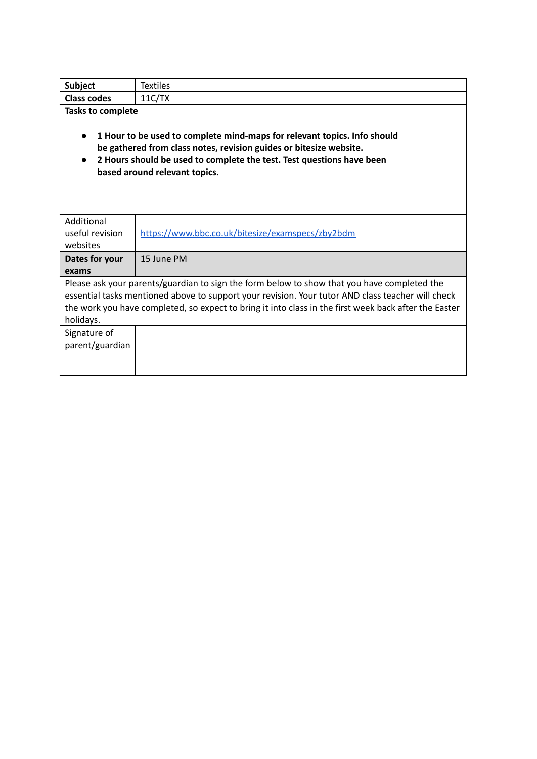| <b>Subject</b>                                                                                                                                                                                                                                                                                                         | <b>Textiles</b>                                                                                                                                                                                                                                          |  |  |  |
|------------------------------------------------------------------------------------------------------------------------------------------------------------------------------------------------------------------------------------------------------------------------------------------------------------------------|----------------------------------------------------------------------------------------------------------------------------------------------------------------------------------------------------------------------------------------------------------|--|--|--|
| <b>Class codes</b>                                                                                                                                                                                                                                                                                                     | 11C/TX                                                                                                                                                                                                                                                   |  |  |  |
| <b>Tasks to complete</b>                                                                                                                                                                                                                                                                                               | 1 Hour to be used to complete mind-maps for relevant topics. Info should<br>be gathered from class notes, revision guides or bitesize website.<br>2 Hours should be used to complete the test. Test questions have been<br>based around relevant topics. |  |  |  |
| Additional<br>useful revision<br>websites                                                                                                                                                                                                                                                                              | https://www.bbc.co.uk/bitesize/examspecs/zby2bdm                                                                                                                                                                                                         |  |  |  |
| Dates for your<br>exams                                                                                                                                                                                                                                                                                                | 15 June PM                                                                                                                                                                                                                                               |  |  |  |
| Please ask your parents/guardian to sign the form below to show that you have completed the<br>essential tasks mentioned above to support your revision. Your tutor AND class teacher will check<br>the work you have completed, so expect to bring it into class in the first week back after the Easter<br>holidays. |                                                                                                                                                                                                                                                          |  |  |  |
| Signature of<br>parent/guardian                                                                                                                                                                                                                                                                                        |                                                                                                                                                                                                                                                          |  |  |  |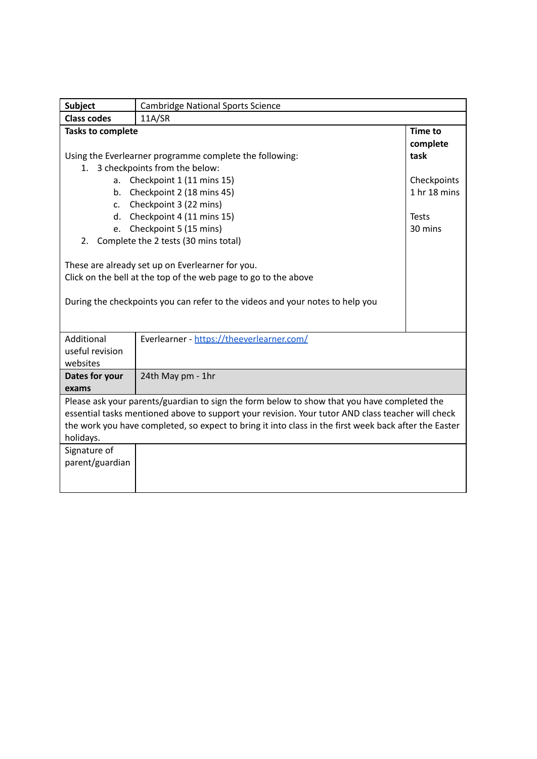| <b>Subject</b>                                                                                                                                                                                                                                                                                                                                            | <b>Cambridge National Sports Science</b> |                            |
|-----------------------------------------------------------------------------------------------------------------------------------------------------------------------------------------------------------------------------------------------------------------------------------------------------------------------------------------------------------|------------------------------------------|----------------------------|
| <b>Class codes</b>                                                                                                                                                                                                                                                                                                                                        | 11A/SR                                   |                            |
| <b>Tasks to complete</b>                                                                                                                                                                                                                                                                                                                                  |                                          | <b>Time to</b><br>complete |
| Using the Everlearner programme complete the following:                                                                                                                                                                                                                                                                                                   |                                          | task                       |
| 3 checkpoints from the below:<br>$1_{-}$                                                                                                                                                                                                                                                                                                                  |                                          |                            |
|                                                                                                                                                                                                                                                                                                                                                           | a. Checkpoint 1 (11 mins 15)             | Checkpoints                |
| b.                                                                                                                                                                                                                                                                                                                                                        | Checkpoint 2 (18 mins 45)                | 1 hr 18 mins               |
| $\mathsf{C}$ .                                                                                                                                                                                                                                                                                                                                            | Checkpoint 3 (22 mins)                   |                            |
| d.                                                                                                                                                                                                                                                                                                                                                        | Checkpoint 4 (11 mins 15)                | <b>Tests</b>               |
| e.                                                                                                                                                                                                                                                                                                                                                        | Checkpoint 5 (15 mins)                   | 30 mins                    |
| 2.                                                                                                                                                                                                                                                                                                                                                        | Complete the 2 tests (30 mins total)     |                            |
| These are already set up on Everlearner for you.<br>Click on the bell at the top of the web page to go to the above<br>During the checkpoints you can refer to the videos and your notes to help you<br>Additional<br>Everlearner - https://theeverlearner.com/                                                                                           |                                          |                            |
| useful revision<br>websites                                                                                                                                                                                                                                                                                                                               |                                          |                            |
| Dates for your<br>exams                                                                                                                                                                                                                                                                                                                                   | 24th May pm - 1hr                        |                            |
| Please ask your parents/guardian to sign the form below to show that you have completed the<br>essential tasks mentioned above to support your revision. Your tutor AND class teacher will check<br>the work you have completed, so expect to bring it into class in the first week back after the Easter<br>holidays.<br>Signature of<br>parent/guardian |                                          |                            |